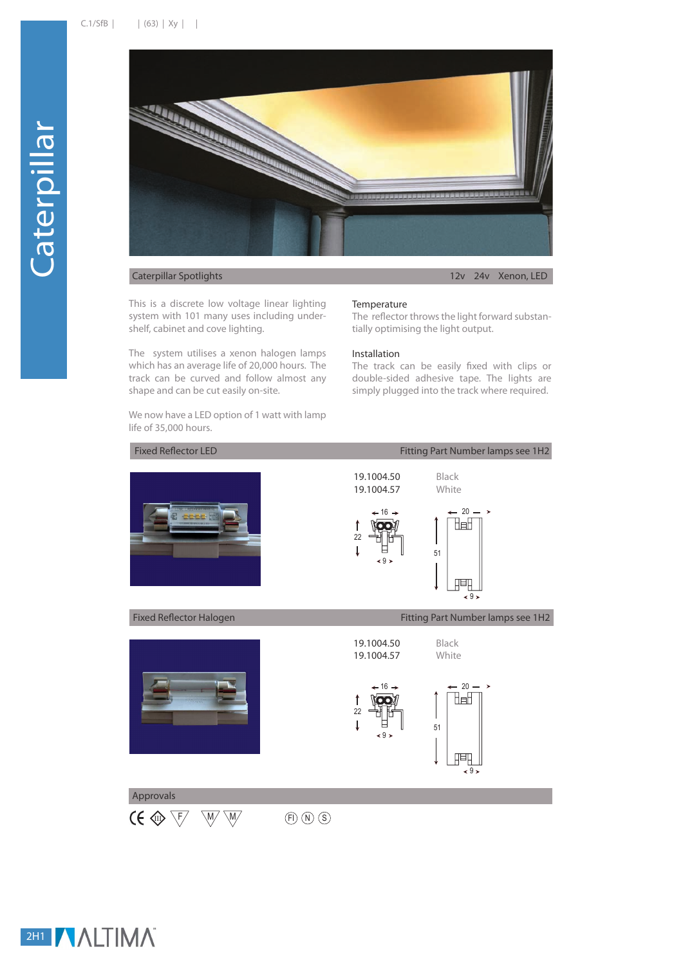

## Caterpillar Spotlights 12v 24v Xenon, LED

This is a discrete low voltage linear lighting system with 101 many uses including undershelf, cabinet and cove lighting.

The system utilises a xenon halogen lamps which has an average life of 20,000 hours. The track can be curved and follow almost any shape and can be cut easily on-site.

We now have a LED option of 1 watt with lamp life of 35,000 hours.

## **Temperature**

The reflector throws the light forward substantially optimising the light output.

## Installation

The track can be easily fixed with clips or double-sided adhesive tape. The lights are simply plugged into the track where required.